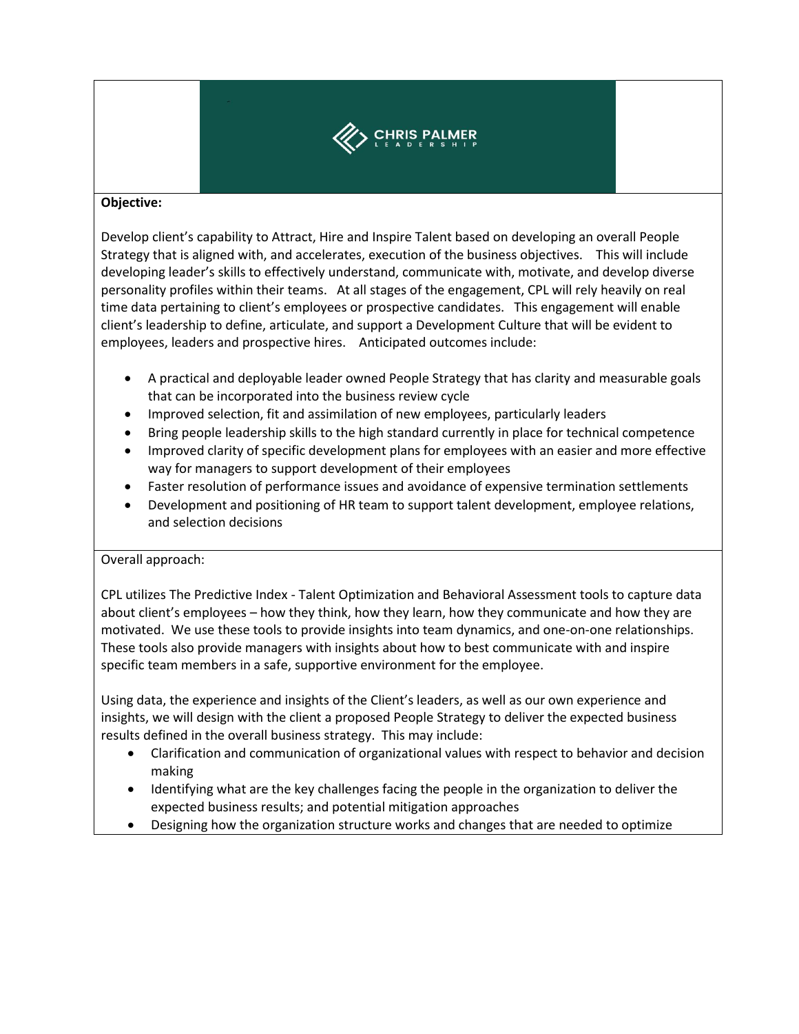

## **Objective:**

Develop client's capability to Attract, Hire and Inspire Talent based on developing an overall People Strategy that is aligned with, and accelerates, execution of the business objectives. This will include developing leader's skills to effectively understand, communicate with, motivate, and develop diverse personality profiles within their teams. At all stages of the engagement, CPL will rely heavily on real time data pertaining to client's employees or prospective candidates. This engagement will enable client's leadership to define, articulate, and support a Development Culture that will be evident to employees, leaders and prospective hires. Anticipated outcomes include:

- A practical and deployable leader owned People Strategy that has clarity and measurable goals that can be incorporated into the business review cycle
- Improved selection, fit and assimilation of new employees, particularly leaders
- Bring people leadership skills to the high standard currently in place for technical competence
- Improved clarity of specific development plans for employees with an easier and more effective way for managers to support development of their employees
- Faster resolution of performance issues and avoidance of expensive termination settlements
- Development and positioning of HR team to support talent development, employee relations, and selection decisions

## Overall approach:

CPL utilizes The Predictive Index - Talent Optimization and Behavioral Assessment tools to capture data about client's employees – how they think, how they learn, how they communicate and how they are motivated. We use these tools to provide insights into team dynamics, and one-on-one relationships. These tools also provide managers with insights about how to best communicate with and inspire specific team members in a safe, supportive environment for the employee.

Using data, the experience and insights of the Client's leaders, as well as our own experience and insights, we will design with the client a proposed People Strategy to deliver the expected business results defined in the overall business strategy. This may include:

- Clarification and communication of organizational values with respect to behavior and decision making
- Identifying what are the key challenges facing the people in the organization to deliver the expected business results; and potential mitigation approaches
- Designing how the organization structure works and changes that are needed to optimize